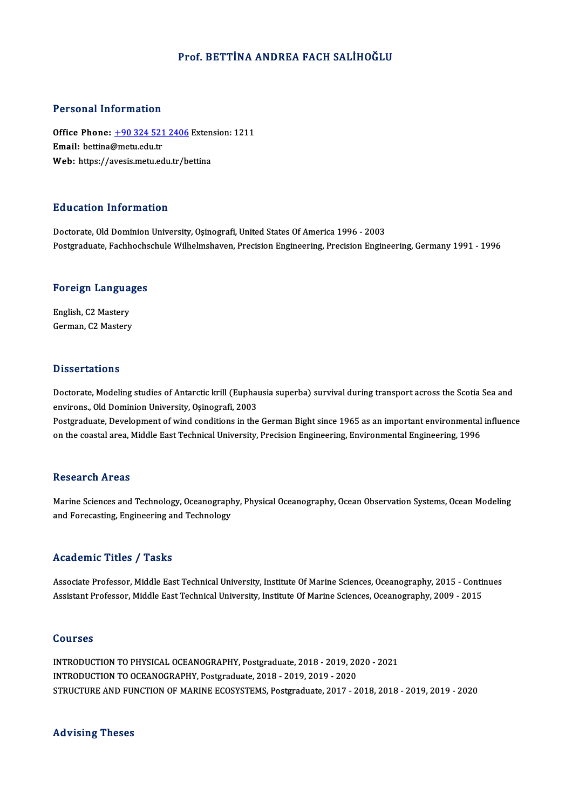#### Prof. BETTİNA ANDREA FACH SALİHOĞLU

#### Personal Information

Personal Information<br>Office Phone: <u>+90 324 521 2406</u> Extension: 1211<br>Email: betting@metu.edu.tr Fersonar micromation<br>Office Phone: <u>+90 324 521</u><br>Email: bettina@metu.edu.tr Office Phone: <u>+90 324 521 2406</u> Exten<br>Email: bettina@metu.edu.tr<br>Web: https://a[vesis.metu.edu.tr/b](tel:+90 324 521 2406)ettina Web: https://avesis.metu.edu.tr/bettina<br>Education Information

Doctorate, Old Dominion University, Oşinografi, United States Of America 1996 - 2003 Postgraduate, Fachhochschule Wilhelmshaven, Precision Engineering, Precision Engineering, Germany 1991 - 1996

# rosigraduate, rachnochs<br>Foreign Languages

Foreign Langua<br>English, C2 Mastery<br>Carman C2 Mastery English, C2 Mastery<br>German, C2 Mastery

#### **Dissertations**

Dissertations<br>Doctorate, Modeling studies of Antarctic krill (Euphausia superba) survival during transport across the Scotia Sea and<br>environs, Old Dominion University Osinografi, 2002 environs.<br>Doctorate, Modeling studies of Antarctic krill (Euphau<br>environs., Old Dominion University, Oşinografi, 2003<br>Bostanaduate, Development of vind conditions in the environs., Old Dominion University, Oşinografi, 2003<br>Postgraduate, Development of wind conditions in the German Bight since 1965 as an important environmental influence on the coastal area, Middle East Technical University, Precision Engineering, Environmental Engineering, 1996

#### **Research Areas**

Research Areas<br>Marine Sciences and Technology, Oceanography, Physical Oceanography, Ocean Observation Systems, Ocean Modeling<br>and Feregesting Engineering and Technology nessear on 111 cas<br>Marine Sciences and Technology, Oceanograph<br>and Forecasting, Engineering and Technology and Forecasting, Engineering and Technology<br>Academic Titles / Tasks

Academic Titles / Tasks<br>Associate Professor, Middle East Technical University, Institute Of Marine Sciences, Oceanography, 2015 - Continues<br>Assistant Professor, Middle East Technical University, Institute Of Marine Science Associate Professor, Middle East Technical University, Institute Of Marine Sciences, Oceanography, 2015 - Conti<br>Assistant Professor, Middle East Technical University, Institute Of Marine Sciences, Oceanography, 2009 - 2015 Assistant Professor, Middle East Technical University, Institute Of Marine Sciences, Oceanography, 2009 - 2015<br>Courses

Courses<br>INTRODUCTION TO PHYSICAL OCEANOGRAPHY, Postgraduate, 2018 - 2019, 2020 - 2021<br>INTRODUCTION TO OCEANOGRAPHY, Postgraduate, 2019, 2019, 2019, 2020 UURITUUS<br>INTRODUCTION TO PHYSICAL OCEANOGRAPHY, Postgraduate, 2018 - 2019, 20<br>INTRODUCTION TO OCEANOGRAPHY, Postgraduate, 2018 - 2019, 2019 - 2020<br>STRUCTURE AND EUNCTION OF MARINE ECOSYSTEMS, Restanduate, 2017, 2 INTRODUCTION TO OCEANOGRAPHY, Postgraduate, 2018 - 2019, 2019 - 2020<br>STRUCTURE AND FUNCTION OF MARINE ECOSYSTEMS, Postgraduate, 2017 - 2018, 2018 - 2019, 2019 - 2020

#### Advising Theses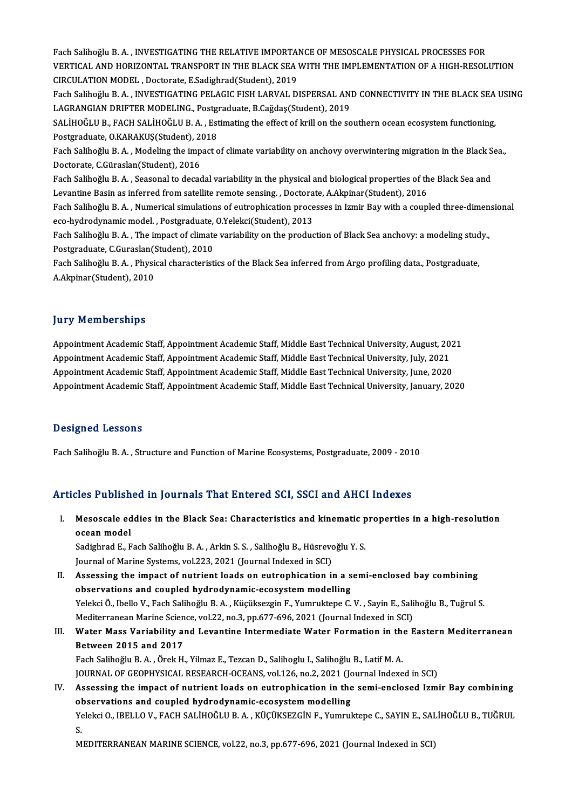Fach Salihoğlu B.A., INVESTIGATING THE RELATIVE IMPORTANCE OF MESOSCALE PHYSICAL PROCESSES FOR VERTICAL AND HORIZONTAL TRANSPORT IN THE BLACK SEA WITH THE IMPLEMENTATION OF A HIGH-RESOLUTION CIRCULATIONMODEL ,Doctorate,E.Sadighrad(Student),2019 VERTICAL AND HORIZONTAL TRANSPORT IN THE BLACK SEA WITH THE IMPLEMENTATION OF A HIGH-RESOLUTION<br>CIRCULATION MODEL , Doctorate, E.Sadighrad(Student), 2019<br>Fach Salihoğlu B. A. , INVESTIGATING PELAGIC FISH LARVAL DISPERSAL A CIRCULATION MODEL , Doctorate, E.Sadighrad(Student), 2019<br>Fach Salihoğlu B. A. , INVESTIGATING PELAGIC FISH LARVAL DISPERSAL ANI<br>LAGRANGIAN DRIFTER MODELING., Postgraduate, B.Cağdaş(Student), 2019<br>SALİHOĞLU B. FACH SALİHOĞ Fach Salihoğlu B. A. , INVESTIGATING PELAGIC FISH LARVAL DISPERSAL AND CONNECTIVITY IN THE BLACK SEA<br>LAGRANGIAN DRIFTER MODELING., Postgraduate, B.Cağdaş(Student), 2019<br>SALİHOĞLU B., FACH SALİHOĞLU B. A. , Estimating the e LAGRANGIAN DRIFTER MODELING., Postgraduate, B.Cağdaş(Student), 2019<br>SALİHOĞLU B., FACH SALİHOĞLU B. A. , Estimating the effect of krill on the southern ocean ecosystem functioning, SALİHOĞLU B., FACH SALİHOĞLU B. A. , Estimating the effect of krill on the southern ocean ecosystem functioning,<br>Postgraduate, O.KARAKUŞ(Student), 2018<br>Fach Salihoğlu B. A. , Modeling the impact of climate variability on a Postgraduate, O.KARAKUŞ(Student), 2018<br>Fach Salihoğlu B. A. , Modeling the impact of<br>Doctorate, C.Güraslan(Student), 2016 Fach Salihoğlu B. A. , Modeling the impact of climate variability on anchovy overwintering migration in the Black S<br>Doctorate, C.Güraslan(Student), 2016<br>Fach Salihoğlu B. A. , Seasonal to decadal variability in the physica Doctorate, C.Güraslan(Student), 2016<br>Fach Salihoğlu B. A. , Seasonal to decadal variability in the physical and biological properties of th<br>Levantine Basin as inferred from satellite remote sensing. , Doctorate, A.Akpinar( Fach Salihoğlu B. A. , Seasonal to decadal variability in the physical and biological properties of the Black Sea and<br>Levantine Basin as inferred from satellite remote sensing. , Doctorate, A.Akpinar(Student), 2016<br>Fach Sa Levantine Basin as inferred from satellite remote sensing. , Doctorate, A.Akpinar(Student), 2016<br>Fach Salihoğlu B. A. , Numerical simulations of eutrophication processes in Izmir Bay with a coupled three-dimensional<br>eco-hy

Fach Salihoğlu B. A. , Numerical simulations of eutrophication processes in Izmir Bay with a coupled three-dimen<br>eco-hydrodynamic model. , Postgraduate, O.Yelekci(Student), 2013<br>Fach Salihoğlu B. A. , The impact of climate eco-hydrodynamic model. , Postgraduate,<br>Fach Salihoğlu B. A. , The impact of climate<br>Postgraduate, C.Guraslan(Student), 2010<br>Fach Salihoğlu B. A., Physical shanastanist Fach Salihoğlu B. A. , The impact of climate variability on the production of Black Sea anchovy: a modeling stud<br>Postgraduate, C.Guraslan(Student), 2010<br>Fach Salihoğlu B. A. , Physical characteristics of the Black Sea infe

Postgraduate, C.Guraslan(Student), 2010<br>Fach Salihoğlu B. A. , Physical characteristics of the Black Sea inferred from Argo profiling data., Postgraduate,<br>A.Akpinar(Student), 2010

#### **Jury Memberships**

**Jury Memberships<br>Appointment Academic Staff, Appointment Academic Staff, Middle East Technical University, August, 2021<br>Appointment Academic Staff, Appointment Academic Staff, Middle East Technical University, July, 2021** Appointment Academic Staff, Appointment Academic Staff, Middle East Technical University, August, 20<br>Appointment Academic Staff, Appointment Academic Staff, Middle East Technical University, July, 2021<br>Appointment Academic Appointment Academic Staff, Appointment Academic Staff, Middle East Technical University, August, 202<br>Appointment Academic Staff, Appointment Academic Staff, Middle East Technical University, July, 2021<br>Appointment Academi Appointment Academic Staff, Appointment Academic Staff, Middle East Technical University, July, 2021<br>Appointment Academic Staff, Appointment Academic Staff, Middle East Technical University, June, 2020<br>Appointment Academic

#### Designed Lessons

Fach SalihoğluB.A. ,Structure and FunctionofMarineEcosystems,Postgraduate,2009 -2010

#### Articles Published in Journals That Entered SCI, SSCI and AHCI Indexes

rticles Published in Journals That Entered SCI, SSCI and AHCI Indexes<br>I. Mesoscale eddies in the Black Sea: Characteristics and kinematic properties in a high-resolution<br>2000p model Mesoscale ed<br>Mesoscale ed<br>ocean model<br>Sedighred E. E Mesoscale eddies in the Black Sea: Characteristics and kinematic p<br>ocean model<br>Sadighrad E., Fach Salihoğlu B.A. , Arkin S.S. , Salihoğlu B., Hüsrevoğlu Y.S.<br>Journal of Marine Systems vol 222, 2021 (Journal Indoved in SCD)

ocean model<br>Sadighrad E., Fach Salihoğlu B. A. , Arkin S. S. , Salihoğlu B., Hüsrevoğlu Y. S.<br>Journal of Marine Systems, vol.223, 2021 (Journal Indexed in SCI)

Sadighrad E., Fach Salihoğlu B. A. , Arkin S. S. , Salihoğlu B., Hüsrevoğlu Y. S.<br>Journal of Marine Systems, vol.223, 2021 (Journal Indexed in SCI)<br>II. Assessing the impact of nutrient loads on eutrophication in a semi-enc Journal of Marine Systems, vol.223, 2021 (Journal Indexed in SCI)<br>Assessing the impact of nutrient loads on eutrophication in a s<br>observations and coupled hydrodynamic-ecosystem modelling<br>Velsksi Ö, Ibelle V, Eash Selibeğl Assessing the impact of nutrient loads on eutrophication in a semi-enclosed bay combining<br>observations and coupled hydrodynamic-ecosystem modelling<br>Yelekci Ö., Ibello V., Fach Salihoğlu B. A. , Küçüksezgin F., Yumruktepe C observations and coupled hydrodynamic-ecosystem modelling<br>Yelekci Ö., Ibello V., Fach Salihoğlu B. A. , Küçüksezgin F., Yumruktepe C. V. , Sayin E., Sali<br>Mediterranean Marine Science, vol.22, no.3, pp.677-696, 2021 (Journa Yelekci Ö., Ibello V., Fach Salihoğlu B. A. , Küçüksezgin F., Yumruktepe C. V. , Sayin E., Salihoğlu B., Tuğrul S.<br>Mediterranean Marine Science, vol.22, no.3, pp.677-696, 2021 (Journal Indexed in SCI)<br>III. Water Mass Varia

# Mediterranean Marine Scien<br>Water Mass Variability and 2017<br>Between 2015 and 2017 Water Mass Variability and Levantine Intermediate Water Formation in the<br>Between 2015 and 2017<br>Fach Salihoğlu B.A., Örek H., Yilmaz E., Tezcan D., Salihoglu I., Salihoğlu B., Latif M.A.<br>JOUPMAL OF CEOPHYSICAL PESEARCH OCEA

Between 2015 and 2017<br>Fach Salihoğlu B. A. , Örek H., Yilmaz E., Tezcan D., Salihoglu I., Salihoğlu B., Latif M. A.<br>JOURNAL OF GEOPHYSICAL RESEARCH-OCEANS, vol.126, no.2, 2021 (Journal Indexed in SCI) Fach Salihoğlu B. A. , Örek H., Yilmaz E., Tezcan D., Salihoglu I., Salihoğlu B., Latif M. A.<br>JOURNAL OF GEOPHYSICAL RESEARCH-OCEANS, vol.126, no.2, 2021 (Journal Indexed in SCI)<br>IV. Assessing the impact of nutrient loads

## JOURNAL OF GEOPHYSICAL RESEARCH-OCEANS, vol.126, no.2, 2021 (Journal of next search of nutrient loads on eutrophication in the<br>observations and coupled hydrodynamic-ecosystem modelling<br>Velsksi O, JPELLO V, FACH SALUOČLU P. Assessing the impact of nutrient loads on eutrophication in the semi-enclosed Izmir Bay combining<br>observations and coupled hydrodynamic-ecosystem modelling<br>Yelekci O., IBELLO V., FACH SALİHOĞLU B. A. , KÜÇÜKSEZGİN F., Yumr ol<br>Ye<br>M Yelekci O., IBELLO V., FACH SALİHOĞLU B. A. , KÜÇÜKSEZGİN F., Yumruktepe C., SAYIN E., SALİHOĞLU B., TUĞRUL<br>S.<br>MEDITERRANEAN MARINE SCIENCE, vol.22, no.3, pp.677-696, 2021 (Journal Indexed in SCI)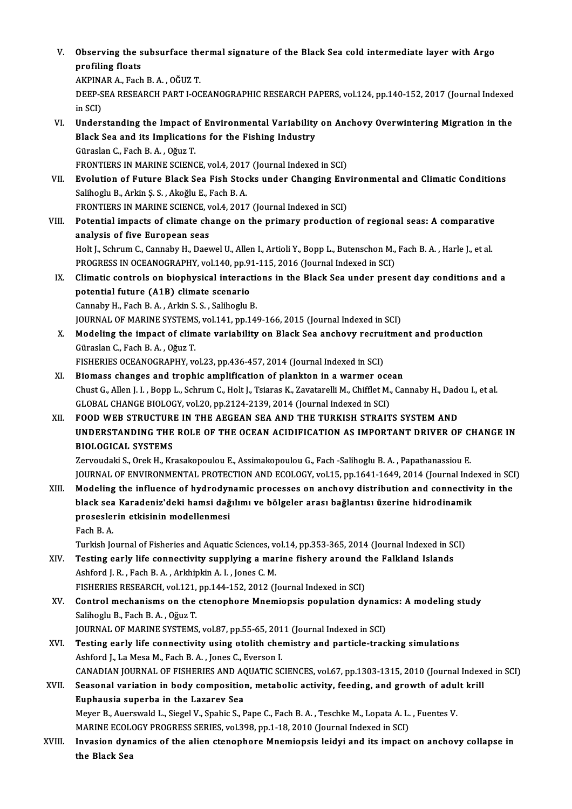V. Observing the subsurface thermal signature of the Black Sea cold intermediate layer with Argo Observing the s<br>profiling floats Observing the subsurface the<br>profiling floats<br>AKPINAR A., Fach B.A. , OĞUZ T.<br>DEEP SEA PESEARCH PART LOC

profiling floats<br>AKPINAR A., Fach B. A. , OĞUZ T.<br>DEEP-SEA RESEARCH PART I-OCEANOGRAPHIC RESEARCH PAPERS, vol.124, pp.140-152, 2017 (Journal Indexed<br>in SCI) AKPINA<br>DEEP-S<br>in SCI)<br>Unders DEEP-SEA RESEARCH PART I-OCEANOGRAPHIC RESEARCH PAPERS, vol.124, pp.140-152, 2017 (Journal Indexed<br>in SCI)<br>VI. Understanding the Impact of Environmental Variability on Anchovy Overwintering Migration in the<br>Plack See and i

- in SCI)<br>Understanding the Impact of Environmental Variability<br>Black Sea and its Implications for the Fishing Industry<br>Cüraslan G. Fash B.A., Oğuz T Black Sea and its Implications for the Fishing Industry Güraslan C., Fach B. A., Oğuz T. FRONTIERS IN MARINE SCIENCE, vol.4, 2017 (Journal Indexed in SCI) Güraslan C., Fach B. A. , Oğuz T.<br>FRONTIERS IN MARINE SCIENCE, vol.4, 2017 (Journal Indexed in SCI)<br>VII. Byolution of Future Black Sea Fish Stocks under Changing Environmental and Climatic Conditions<br>Seliberly B. Arkin S.
- FRONTIERS IN MARINE SCIENCE, vol.4, 2017<br>**Evolution of Future Black Sea Fish Stoc**<br>Salihoglu B., Arkin Ş. S. , Akoğlu E., Fach B. A.<br>EPONTIERS IN MARINE SCIENCE vol.4, 2017 Evolution of Future Black Sea Fish Stocks under Changing Env<br>Salihoglu B., Arkin Ş. S. , Akoğlu E., Fach B. A.<br>FRONTIERS IN MARINE SCIENCE, vol.4, 2017 (Journal Indexed in SCI)<br>Petential impests of slimate shapes on the pr Salihoglu B., Arkin Ş. S. , Akoğlu E., Fach B. A.<br>FRONTIERS IN MARINE SCIENCE, vol.4, 2017 (Journal Indexed in SCI)<br>VIII. Potential impacts of climate change on the primary production of regional seas: A comparative
- analysis of five European seas Potential impacts of climate change on the primary production of regional seas: A comparative<br>analysis of five European seas<br>Holt J., Schrum C., Cannaby H., Daewel U., Allen I., Artioli Y., Bopp L., Butenschon M., Fach B.

analysis of five European seas<br>Holt J., Schrum C., Cannaby H., Daewel U., Allen I., Artioli Y., Bopp L., Butenschon M.,<br>PROGRESS IN OCEANOGRAPHY, vol.140, pp.91-115, 2016 (Journal Indexed in SCI)<br>Climatic controls on bionh Holt J., Schrum C., Cannaby H., Daewel U., Allen I., Artioli Y., Bopp L., Butenschon M., Fach B. A. , Harle J., et al.<br>PROGRESS IN OCEANOGRAPHY, vol.140, pp.91-115, 2016 (Journal Indexed in SCI)<br>IX. Climatic controls on bi

- PROGRESS IN OCEANOGRAPHY, vol.140, pp.9<br>Climatic controls on biophysical interact<br>potential future (A1B) climate scenario<br>Cannaby H. Fash B.A., Arlin S.S., Salibashy I Climatic controls on biophysical interaction<br>potential future (A1B) climate scenario<br>Cannaby H., Fach B.A. , Arkin S.S. , Salihoglu B. potential future (A1B) climate scenario<br>Cannaby H., Fach B. A. , Arkin S. S. , Salihoglu B.<br>JOURNAL OF MARINE SYSTEMS, vol.141, pp.149-166, 2015 (Journal Indexed in SCI)<br>Modeling the impact of climate voriebility on Black
- Cannaby H., Fach B. A. , Arkin S. S. , Salihoglu B.<br>JOURNAL OF MARINE SYSTEMS, vol.141, pp.149-166, 2015 (Journal Indexed in SCI)<br>X. Modeling the impact of climate variability on Black Sea anchovy recruitment and productio JOURNAL OF MARINE SYSTEMS<br>Modeling the impact of clim<br>Güraslan C., Fach B. A. , Oğuz T.<br>FISUEPLES OCEANOCRAPUV *W* FISHERIES OCEANOGRAPHY, vol.23, pp.436-457, 2014 (Journal Indexed in SCI) Güraslan C., Fach B. A. , Oğuz T.<br>FISHERIES OCEANOGRAPHY, vol.23, pp.436-457, 2014 (Journal Indexed in SCI)<br>XI. Biomass changes and trophic amplification of plankton in a warmer ocean<br>Chust C. Allen J. J. Bonn J. Schrum C.
- FISHERIES OCEANOGRAPHY, vol.23, pp.436-457, 2014 (Journal Indexed in SCI)<br>Biomass changes and trophic amplification of plankton in a warmer ocean<br>Chust G., Allen J. I. , Bopp L., Schrum C., Holt J., Tsiaras K., Zavatarelli Biomass changes and trophic amplification of plankton in a warmer oce<br>Chust G., Allen J. I. , Bopp L., Schrum C., Holt J., Tsiaras K., Zavatarelli M., Chifflet M.,<br>GLOBAL CHANGE BIOLOGY, vol.20, pp.2124-2139, 2014 (Journal Chust G., Allen J. I. , Bopp L., Schrum C., Holt J., Tsiaras K., Zavatarelli M., Chifflet M., Cannaby H., Dad<br>GLOBAL CHANGE BIOLOGY, vol.20, pp.2124-2139, 2014 (Journal Indexed in SCI)<br>XII. FOOD WEB STRUCTURE IN THE AEGEAN
- GLOBAL CHANGE BIOLOGY, vol20, pp.2124-2139, 2014 (Journal Indexed in SCI)<br>FOOD WEB STRUCTURE IN THE AEGEAN SEA AND THE TURKISH STRAITS SYSTEM AND<br>UNDERSTANDING THE ROLE OF THE OCEAN ACIDIFICATION AS IMPORTANT DRIVER OF CHA FOOD WEB STRUCTURI<br>UNDERSTANDING THE<br>BIOLOGICAL SYSTEMS<br>Zewoudeki S. Orek H. Vr UNDERSTANDING THE ROLE OF THE OCEAN ACIDIFICATION AS IMPORTANT DRIVER OF C.<br>BIOLOGICAL SYSTEMS<br>Zervoudaki S., Orek H., Krasakopoulou E., Assimakopoulou G., Fach -Salihoglu B. A. , Papathanassiou E.<br>JOUPMAL OF ENVIRONMENTAL

BIOLOGICAL SYSTEMS<br>Zervoudaki S., Orek H., Krasakopoulou E., Assimakopoulou G., Fach -Salihoglu B. A. , Papathanassiou E.<br>JOURNAL OF ENVIRONMENTAL PROTECTION AND ECOLOGY, vol.15, pp.1641-1649, 2014 (Journal Indexed in SCI) Zervoudaki S., Orek H., Krasakopoulou E., Assimakopoulou G., Fach -Salihoglu B. A. , Papathanassiou E.<br>JOURNAL OF ENVIRONMENTAL PROTECTION AND ECOLOGY, vol.15, pp.1641-1649, 2014 (Journal Indexed in SCI<br>XIII. Modeling the

JOURNAL OF ENVIRONMENTAL PROTECTION AND ECOLOGY, vol.15, pp.1641-1649, 2014 (Journal Inde<br>Modeling the influence of hydrodynamic processes on anchovy distribution and connectiv<br>black sea Karadeniz'deki hamsi dağılımı ve bö Modeling the influence of hydrodyr<br>black sea Karadeniz'deki hamsi dağ<br>proseslerin etkisinin modellenmesi<br>Feeb B.A black sea Karadeniz'deki hamsi dağılımı ve bölgeler arası bağlantısı üzerine hidrodinamik<br>proseslerin etkisinin modellenmesi<br>Fach B.A.

Turkish Journal of Fisheries and Aquatic Sciences, vol.14, pp.353-365, 2014 (Journal Indexed in SCI)

- Fach B. A.<br>Turkish Journal of Fisheries and Aquatic Sciences, vol.14, pp.353-365, 2014 (Journal Indexed in St<br>XIV. Testing early life connectivity supplying a marine fishery around the Falkland Islands<br>Achford L.B., Each B Turkish Journal of Fisheries and Aquatic Sciences, v<br>Testing early life connectivity supplying a mai<br>Ashford J. R. , Fach B. A. , Arkhipkin A. I. , Jones C. M.<br>FISUEDIES PESEARCH vol.121 pp.144.152.2012 (I Testing early life connectivity supplying a marine fishery around t<br>Ashford J. R. , Fach B. A. , Arkhipkin A. I. , Jones C. M.<br>FISHERIES RESEARCH, vol.121, pp.144-152, 2012 (Journal Indexed in SCI)<br>Control mechanisms on th Ashford J. R. , Fach B. A. , Arkhipkin A. I. , Jones C. M.<br>FISHERIES RESEARCH, vol.121, pp.144-152, 2012 (Journal Indexed in SCI)<br>XV. Control mechanisms on the ctenophore Mnemiopsis population dynamics: A modeling study
- Salihoglu B., Fach B.A., Oğuz T. JOURNAL OF MARINE SYSTEMS, vol.87, pp.55-65, 2011 (Journal Indexed in SCI)
- Salihoglu B., Fach B. A. , Oğuz T.<br>JOURNAL OF MARINE SYSTEMS, vol.87, pp.55-65, 2011 (Journal Indexed in SCI)<br>XVI. Testing early life connectivity using otolith chemistry and particle-tracking simulations<br>Ashford J. Jo Mes JOURNAL OF MARINE SYSTEMS, vol.87, pp.55-65, 201<br>Testing early life connectivity using otolith che:<br>Ashford J., La Mesa M., Fach B. A. , Jones C., Everson I.<br>CANADIAN JOURNAL OF EISHERES AND AQUATIC SC Testing early life connectivity using otolith chemistry and particle-tracking simulations<br>Ashford J., La Mesa M., Fach B. A. , Jones C., Everson I.<br>CANADIAN JOURNAL OF FISHERIES AND AQUATIC SCIENCES, vol.67, pp.1303-1315, Ashford J., La Mesa M., Fach B. A. , Jones C., Everson I.<br>CANADIAN JOURNAL OF FISHERIES AND AQUATIC SCIENCES, vol.67, pp.1303-1315, 2010 (Journal Indexe<br>XVII. Seasonal variation in body composition, metabolic activity, fee
- CANADIAN JOURNAL OF FISHERIES AND AC<br>Seasonal variation in body composition<br>Euphausia superba in the Lazarev Sea<br>Mover B. Avergyald L. Siagel V. Spekia S. E Seasonal variation in body composition, metabolic activity, feeding, and growth of adul<br>Euphausia superba in the Lazarev Sea<br>Meyer B., Auerswald L., Siegel V., Spahic S., Pape C., Fach B. A. , Teschke M., Lopata A. L. , Fu Euphausia superba in the Lazarev Sea<br>Meyer B., Auerswald L., Siegel V., Spahic S., Pape C., Fach B. A. , Teschke M., Lopata A. L.<br>MARINE ECOLOGY PROGRESS SERIES, vol.398, pp.1-18, 2010 (Journal Indexed in SCI)<br>Invasion dyn Meyer B., Auerswald L., Siegel V., Spahic S., Pape C., Fach B. A. , Teschke M., Lopata A. L. , Fuentes V.<br>MARINE ECOLOGY PROGRESS SERIES, vol.398, pp.1-18, 2010 (Journal Indexed in SCI)<br>XVIII. Invasion dynamics of the alie
- MARINE ECOL<br>Invasion dyn<br>the Black Sea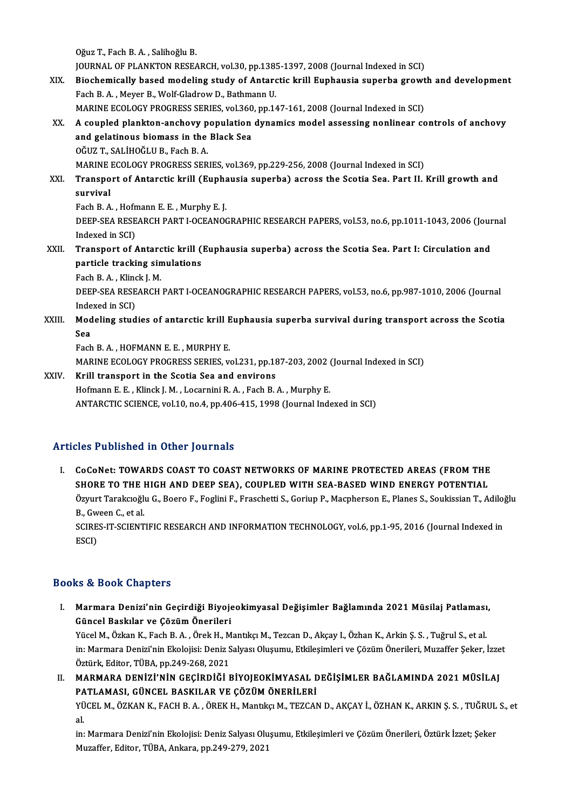OğuzT.,FachB.A. ,SalihoğluB.

Oğuz T., Fach B. A. , Salihoğlu B.<br>JOURNAL OF PLANKTON RESEARCH, vol.30, pp.1385-1397, 2008 (Journal Indexed in SCI)<br>Piesbemiselly based modeling study of Antanstie kuill Eunbeusie sunerbe grout

XIX. Biochemically based modeling study of Antarctic krill Euphausia superba growth and development<br>Fach B. A., Meyer B., Wolf-Gladrow D., Bathmann U. FOURNAL OF PLANKTON RESEARCH, vol.30, pp.138!<br>Biochemically based modeling study of Antard<br>Fach B. A. , Meyer B., Wolf-Gladrow D., Bathmann U.<br>MARINE ECOLOCY PROCRESS SERIES, vol.360, pp.14 Biochemically based modeling study of Antarctic krill Euphausia superba growt<br>Fach B. A. , Meyer B., Wolf-Gladrow D., Bathmann U.<br>MARINE ECOLOGY PROGRESS SERIES, vol.360, pp.147-161, 2008 (Journal Indexed in SCI)<br>A sounled

XX. A coupled plankton-anchovy population dynamics model assessing nonlinear controls of anchovy MARINE ECOLOGY PROGRESS SERIES, vol.360<br>A coupled plankton-anchovy population<br>and gelatinous biomass in the Black Sea and gelatinous biomass in the Black Sea<br>OĞUZ T., SALİHOĞLU B., Fach B. A. and gelatinous biomass in the Black Sea<br>OĞUZ T., SALİHOĞLU B., Fach B. A.<br>MARINE ECOLOGY PROGRESS SERIES, vol.369, pp.229-256, 2008 (Journal Indexed in SCI)<br>Transport of Antarstis krill (Euphausia superba) asress the Seati OĞUZ T., SALİHOĞLU B., Fach B. A.<br>MARINE ECOLOGY PROGRESS SERIES, vol.369, pp.229-256, 2008 (Journal Indexed in SCI)<br>XXI. Transport of Antarctic krill (Euphausia superba) across the Scotia Sea. Part II. Krill growth an

# MARINE<br>Transpo<br>survival<br>Each B A Transport of Antarctic krill (Eupha<br>survival<br>Fach B.A., Hofmann E.E., Murphy E.J.<br>DEEP SEA PESEARCH BART LOCEANOC

survival<br>Fach B. A. , Hofmann E. E. , Murphy E. J.<br>DEEP-SEA RESEARCH PART I-OCEANOGRAPHIC RESEARCH PAPERS, vol.53, no.6, pp.1011-1043, 2006 (Journal<br>Indoved in SCD. Fach B.A., Hofn<br>DEEP-SEA RESE<br>Indexed in SCI)<br>Transport of *L* DEEP-SEA RESEARCH PART I-OCEANOGRAPHIC RESEARCH PAPERS, vol.53, no.6, pp.1011-1043, 2006 (Jour<br>Indexed in SCI)<br>XXII. Transport of Antarctic krill (Euphausia superba) across the Scotia Sea. Part I: Circulation and<br>norticle

# Indexed in SCI)<br>Transport of Antarctic krill (<br>particle tracking simulations<br>Feeb B.A. Klingk L.M **Transport of Antarc<br>particle tracking sin<br>Fach B.A., Klinck J. M.<br>DEED SEA DESEADCU**

Fach B.A., Klinck J.M.

particle tracking simulations<br>Fach B. A. , Klinck J. M.<br>DEEP-SEA RESEARCH PART I-OCEANOGRAPHIC RESEARCH PAPERS, vol.53, no.6, pp.987-1010, 2006 (Journal<br>Indexed in SCI) DEEP-SEA RESEARCH PART I-OCEANOGRAPHIC RESEARCH PAPERS, vol.53, no.6, pp.987-1010, 2006 (Journal Indexed in SCI)<br>XXIII. Modeling studies of antarctic krill Euphausia superba survival during transport across the Scotia

Inde<br>Mod<br>Sea<br><sub>Each</sub> Modeling studies of antarctic krill E<br>Sea<br>Fach B.A. , HOFMANN E.E. , MURPHY E.<br>MARINE ECOLOCY PROCRESS SERIES ... Sea<br>Fach B. A. , HOFMANN E. E. , MURPHY E.<br>MARINE ECOLOGY PROGRESS SERIES, vol.231, pp.187-203, 2002 (Journal Indexed in SCI)<br>Krill transport in the Seetia Sea and environs

Fach B. A., HOFMANN E. E., MURPHY E.<br>MARINE ECOLOGY PROGRESS SERIES, vol.231, pp.18<br>XXIV. Krill transport in the Scotia Sea and environs MARINE ECOLOGY PROGRESS SERIES, vol.231, pp.187-203, 2002 (<br>Krill transport in the Scotia Sea and environs<br>Hofmann E. E. , Klinck J. M. , Locarnini R. A. , Fach B. A. , Murphy E.<br>ANTAPCTIC SCIENCE vol.10, pp.4, pp.406, 415 XXIV. Krill transport in the Scotia Sea and environs<br>Hofmann E. E., Klinck J. M., Locarnini R. A., Fach B. A., Murphy E.<br>ANTARCTIC SCIENCE, vol.10, no.4, pp.406-415, 1998 (Journal Indexed in SCI)

### Articles Published in Other Journals

Tticles Published in Other Journals<br>I. CoCoNet: TOWARDS COAST TO COAST NETWORKS OF MARINE PROTECTED AREAS (FROM THE<br>SHORE TO THE HIGH AND DEER SEA), COURLED WITH SEA RASED WIND ENERGY POTENTIAL SHOP THOMOREM IN OTHER JOURNALS<br>CoCoNet: TOWARDS COAST TO COAST NETWORKS OF MARINE PROTECTED AREAS (FROM THE<br>SHORE TO THE HIGH AND DEEP SEA), COUPLED WITH SEA-BASED WIND ENERGY POTENTIAL<br>ÖTTUT TORKERGÖLLG, BOORE E EQUIDLE CoCoNet: TOWARDS COAST TO COAST NETWORKS OF MARINE PROTECTED AREAS (FROM THE<br>SHORE TO THE HIGH AND DEEP SEA), COUPLED WITH SEA-BASED WIND ENERGY POTENTIAL<br>Özyurt Tarakcıoğlu G., Boero F., Foglini F., Fraschetti S., Goriup SHORE TO THE HIGH AND DEEP SEA), COUPLED WITH SEA-BASED WIND ENERGY POTENTIAL Özyurt Tarakcıoğlu G., Boero F., Foglini F., Fraschetti S., Goriup P., Macpherson E., Planes S., Soukissian T., A<br>B.. Gween C.. et al. Özyurt Tarakcıoğlu G., Boero F., Foglini F., Fraschetti S., Goriup P., Macpherson E., Planes S., Soukissian T., Adiloğlu<br>B., Gween C., et al.<br>SCIRES-IT-SCIENTIFIC RESEARCH AND INFORMATION TECHNOLOGY, vol.6, pp.1-95, 2016 (

SCIRES-IT-SCIENTIFIC RESEARCH AND INFORMATION TECHNOLOGY, vol.6, pp.1-95, 2016 (Journal Indexed in

#### Books&Book Chapters

ooks & Book Chapters<br>I. Marmara Denizi'nin Geçirdiği Biyojeokimyasal Değişimler Bağlamında 2021 Müsilaj Patlaması,<br>. Güncel Başkılar ve Gözüm Önerileri tə di boon dhapteri<br>Marmara Denizi'nin Geçirdiği Biyoje<br>Güncel Baskılar ve Çözüm Önerileri<br><sup>Vücel M. Özkan K. Fash B. A. Önek H. M</sup> Marmara Denizi'nin Geçirdiği Biyojeokimyasal Değişimler Bağlamında 2021 Müsilaj Patlaması<br>Güncel Baskılar ve Çözüm Önerileri<br>Yücel M., Özkan K., Fach B. A. , Örek H., Mantıkçı M., Tezcan D., Akçay I., Özhan K., Arkin Ş. S.

Güncel Baskılar ve Çözüm Önerileri<br>Yücel M., Özkan K., Fach B. A. , Örek H., Mantıkçı M., Tezcan D., Akçay I., Özhan K., Arkin Ş. S. , Tuğrul S., et al.<br>in: Marmara Denizi'nin Ekolojisi: Deniz Salyası Oluşumu, Etkileşimler Yücel M., Özkan K., Fach B. A. , Örek H., M<br>in: Marmara Denizi'nin Ekolojisi: Deniz S<br>Öztürk, Editor, TÜBA, pp.249-268, 2021<br>MARMARA, DENİZİ'NİN GEGİRDİĞİ F In: Marmara Denizi'nin Ekolojisi: Deniz Salyası Oluşumu, Etkileşimleri ve Çözüm Önerileri, Muzaffer Şeker, İzze<br>Öztürk, Editor, TÜBA, pp.249-268, 2021<br>II. MARMARA DENİZİ'NİN GEÇİRDİĞİ BİYOJEOKİMYASAL DEĞİŞİMLER BAĞLAMINDA

Öztürk, Editor, TÜBA, pp.249-268, 2021<br>MARMARA DENİZİ'NİN GEÇİRDİĞİ BİYOJEOKİMYASAL E<br>PATLAMASI, GÜNCEL BASKILAR VE ÇÖZÜM ÖNERİLERİ<br>VÜCEL M. ÖZKAN K. FACH B.A., ÖREK H. Mantlıcı M. TEZCAN MARMARA DENİZİ'NİN GEÇİRDİĞİ BİYOJEOKİMYASAL DEĞİŞİMLER BAĞLAMINDA 2021 MÜSİLAJ<br>PATLAMASI, GÜNCEL BASKILAR VE ÇÖZÜM ÖNERİLERİ<br>YÜCEL M., ÖZKAN K., FACH B. A. , ÖREK H., Mantıkçı M., TEZCAN D., AKÇAY İ., ÖZHAN K., ARKIN Ş. S

PA<br>YÜ<br>al. YÜCEL M., ÖZKAN K., FACH B. A. , ÖREK H., Mantıkçı M., TEZCAN D., AKÇAY İ., ÖZHAN K., ARKIN Ş. S. , TUĞRUL<br>al.<br>in: Marmara Denizi'nin Ekolojisi: Deniz Salyası Oluşumu, Etkileşimleri ve Çözüm Önerileri, Öztürk İzzet; Şeker

al.<br>in: Marmara Denizi'nin Ekolojisi: Deniz Salyası Olu<br>Muzaffer, Editor, TÜBA, Ankara, pp.249-279, 2021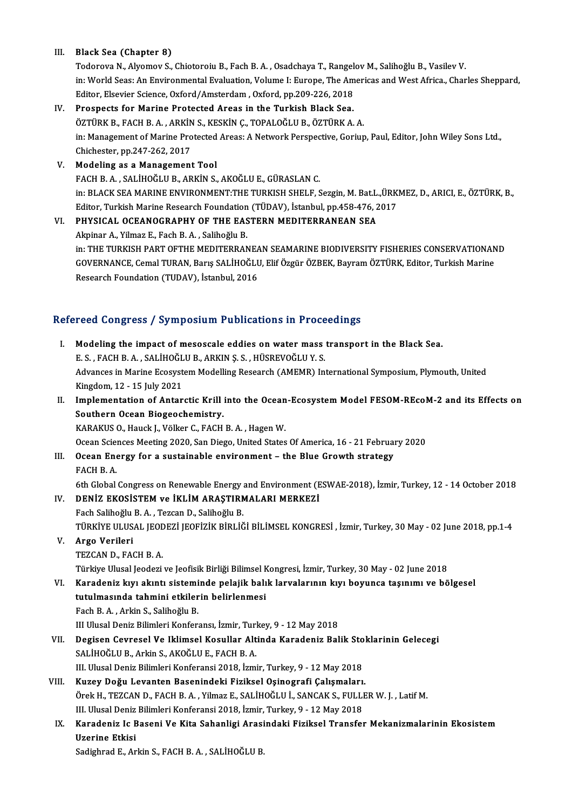#### III. Black Sea (Chapter 8)

Black Sea (Chapter 8)<br>Todorova N., Alyomov S., Chiotoroiu B., Fach B. A. , Osadchaya T., Rangelov M., Salihoğlu B., Vasilev V.<br>in: World Sees: An Environmental Evaluation Valume L. Eurene, The Americas and West Africa. Cha in: World Seas: An Environmental Evaluation, Volume I: Europe, The Americas and West Africa., Charles Sheppard,<br>Editor, Elsevier Science, Oxford/Amsterdam , Oxford, pp.209-226, 2018 Todorova N., Alyomov S., Chiotoroiu B., Fach B. A. , Osadchaya T., Rangel<br>in: World Seas: An Environmental Evaluation, Volume I: Europe, The Am<br>Editor, Elsevier Science, Oxford/Amsterdam , Oxford, pp.209-226, 2018<br>Prespect

### IV. Prospects for Marine Protected Areas in the Turkish Black Sea. Editor, Elsevier Science, Oxford/Amsterdam , Oxford, pp.209-226, 2018<br>Prospects for Marine Protected Areas in the Turkish Black Sea.<br>ÖZTÜRK B., FACH B. A. , ARKİN S., KESKİN Ç., TOPALOĞLU B., ÖZTÜRK A. A.<br>in: Managament of in: Management of Marine Protected Areas: A Network Perspective, Goriup, Paul, Editor, John Wiley Sons Ltd., Chichester, pp.247-262, 2017 ÖZTÜRK B., FACH B. A. , ARKİN<br>in: Management of Marine Pro<br>Chichester, pp.247-262, 2017<br>Modeling as a Management

V. Modeling as aManagement Tool FACHB.A. ,SALİHOĞLUB.,ARKİNS.,AKOĞLUE.,GÜRASLANC. Modeling as a Management Tool<br>FACH B. A. , SALİHOĞLU B., ARKİN S., AKOĞLU E., GÜRASLAN C.<br>in: BLACK SEA MARINE ENVIRONMENT:THE TURKISH SHELF, Sezgin, M. Bat.L.,ÜRKMEZ, D., ARICI, E., ÖZTÜRK, B.,<br>Editer, Turkish Marine Bess FACH B. A., SALİHOĞLU B., ARKİN S., AKOĞLU E., GÜRASLAN C.<br>in: BLACK SEA MARINE ENVIRONMENT:THE TURKISH SHELF, Sezgin, M. Bat.L.,ÜRK<br>Editor, Turkish Marine Research Foundation (TÜDAV), İstanbul, pp.458-476, 2017<br>PHYSICAL O in: BLACK SEA MARINE ENVIRONMENT:THE TURKISH SHELF, Sezgin, M. Bat.L.<br>Editor, Turkish Marine Research Foundation (TÜDAV), İstanbul, pp.458-476, 2<br>VI. PHYSICAL OCEANOGRAPHY OF THE EASTERN MEDITERRANEAN SEA

## Editor, Turkish Marine Research Foundation (TÜDAV), İstanbul, pp.458-476, 2017<br>VI. PHYSICAL OCEANOGRAPHY OF THE EASTERN MEDITERRANEAN SEA<br>Akpinar A., Yilmaz E., Fach B. A. , Salihoğlu B. in: THE TURKISH PART OFTHE MEDITERRANEAN SEAMARINE BIODIVERSITY FISHERIES CONSERVATIONAND Akpinar A., Yilmaz E., Fach B. A. , Salihoğlu B.<br>in: THE TURKISH PART OFTHE MEDITERRANEAN SEAMARINE BIODIVERSITY FISHERIES CONSERVATIONAN<br>GOVERNANCE, Cemal TURAN, Barış SALİHOĞLU, Elif Özgür ÖZBEK, Bayram ÖZTÜRK, Editor, T in: THE TURKISH PART OFTHE MEDITERRANEA<br>GOVERNANCE, Cemal TURAN, Barış SALİHOĞLI<br>Research Foundation (TUDAV), İstanbul, 2016

# Research Foundation (TUDAV), İstanbul, 2016<br>Refereed Congress / Symposium Publications in Proceedings

Example of Energia Congress / Symposium Publications in Proceedings<br>I. Modeling the impact of mesoscale eddies on water mass transport in the Black Sea. E.S., FACH B.A., SALİHOĞLU B., ARKIN Ş.S., HÜSREVOĞLU Y.S.<br>E.S., FACH B.A., SALİHOĞLU B., ARKIN Ş.S., HÜSREVOĞLU Y.S.<br>Advances in Marine Ecosystem Medelling Bessarsh (AMEMB) In Modeling the impact of mesoscale eddies on water mass transport in the Black Sea.<br>E. S. , FACH B. A. , SALİHOĞLU B., ARKIN Ş. S. , HÜSREVOĞLU Y. S.<br>Advances in Marine Ecosystem Modelling Research (AMEMR) International Symp E. S. , FACH B. A. , SALİHOĞL<br>Advances in Marine Ecosyst<br>Kingdom, 12 - 15 July 2021<br>Implementation of Anter Advances in Marine Ecosystem Modelling Research (AMEMR) International Symposium, Plymouth, United<br>Kingdom, 12 - 15 July 2021<br>II. Implementation of Antarctic Krill into the Ocean-Ecosystem Model FESOM-REcoM-2 and its Effect Kingdom, 12 - 15 July 2021<br>Implementation of Antarctic Krill<br>Southern Ocean Biogeochemistry.<br>KARAKUS O. Housk L. Völker C. FACH Implementation of Antarctic Krill into the Ocean<br>Southern Ocean Biogeochemistry.<br>KARAKUS O., Hauck J., Völker C., FACH B. A. , Hagen W.<br>Ocean Sciences Mesting 2020, San Diego, United States Southern Ocean Biogeochemistry.<br>The Sciences Meeting 2020, San Diego, United States Of America, 16 - 21 February 2020<br>Ocean Sciences Meeting 2020, San Diego, United States Of America, 16 - 21 February 2020 KARAKUS O., Hauck J., Völker C., FACH B. A. , Hagen W.<br>Ocean Sciences Meeting 2020, San Diego, United States Of America, 16 - 21 February<br>III. Ocean Energy for a sustainable environment – the Blue Growth strategy Ocean Science<br>**Ocean Ene**<br>FACH B. A. 6thGlobalCongress onRenewableEnergy andEnvironment (ESWAE-2018), İzmir,Turkey,12 -14October 2018 IV. DENİZ EKOSİSTEM ve İKLİM ARAŞTIRMALARI MERKEZİ Fach SalihoğluB.A. ,TezcanD.,SalihoğluB. DENİZ EKOSİSTEM ve İKLİM ARAŞTIRMALARI MERKEZİ<br>Fach Salihoğlu B. A. , Tezcan D., Salihoğlu B.<br>TÜRKİYE ULUSAL JEODEZİ JEOFİZİK BİRLİĞİ BİLİMSEL KONGRESİ , İzmir, Turkey, 30 May - 02 June 2018, pp.1-4<br>Arga Varileri V. Argo Verileri TÜRKİYE ULUSAL JEO<mark>L</mark><br>Argo Verileri<br>TEZCAN D., FACH B. A.<br>Türkiye Ulusal Jeodezi Türkiye Ulusal Jeodezi ve Jeofisik Birliği Bilimsel Kongresi, İzmir, Turkey, 30 May - 02 June 2018 TEZCAN D., FACH B. A.<br>Türkiye Ulusal Jeodezi ve Jeofisik Birliği Bilimsel Kongresi, İzmir, Turkey, 30 May - 02 June 2018<br>VI. Karadeniz kıyı akıntı sisteminde pelajik balık larvalarının kıyı boyunca taşınımı ve bölgesel Türkiye Ulusal Jeodezi ve Jeofisik Birliği Bilimsel k<br>Karadeniz kıyı akıntı sisteminde pelajik balı<br>tutulmasında tahmini etkilerin belirlenmesi<br>Fesh B.A. Arkin S. Salibeğlu B Karadeniz kıyı akıntı sistemi<br>tutulmasında tahmini etkiler<br>Fach B.A., Arkin S., Salihoğlu B.<br>III Illusal Deniz Bilimleri Konfor <mark>tutulmasında tahmini etkilerin belirlenmesi</mark><br>Fach B. A. , Arkin S., Salihoğlu B.<br>III Ulusal Deniz Bilimleri Konferansı, İzmir, Turkey, 9 - 12 May 2018<br>Degisan Caurasal Ve Urlimaal Kasullar, Altinda Karadanir Bal Fach B. A. , Arkin S., Salihoğlu B.<br>III Ulusal Deniz Bilimleri Konferansı, İzmir, Turkey, 9 - 12 May 2018<br>VII. Degisen Cevresel Ve Iklimsel Kosullar Altinda Karadeniz Balik Stoklarinin Gelecegi<br>SALİHOĞLU B., Arkin S., III Ulusal Deniz Bilimleri Konferansı, İzmir, Turl<br><mark>Degisen Cevresel Ve Iklimsel Kosullar Alt</mark><br>SALİHOĞLU B., Arkin S., AKOĞLU E., FACH B. A.<br>III Ulusal Deniz Bilimleri Konferansi 2019, İsmi Degisen Cevresel Ve Iklimsel Kosullar Altinda Karadeniz Balik Sto<br>SALİHOĞLU B., Arkin S., AKOĞLU E., FACH B. A.<br>III. Ulusal Deniz Bilimleri Konferansi 2018, İzmir, Turkey, 9 - 12 May 2018<br>Kurey Değu Leventen Basenindeki Ei SALİHOĞLU B., Arkin S., AKOĞLU E., FACH B. A.<br>III. Ulusal Deniz Bilimleri Konferansi 2018, İzmir, Turkey, 9 - 12 May 2018<br>VIII. Kuzey Doğu Levanten Basenindeki Fiziksel Oşinografi Çalışmaları.<br>Örek H., TEZCAN D. FACH B. A. Örek H., TEZCAN D., FACH B. A. , Yilmaz E., SALİHOĞLU İ., SANCAK S., FULLER W. J. , Latif M.<br>III. Ulusal Deniz Bilimleri Konferansi 2018, İzmir, Turkey, 9 - 12 May 2018 Kuzey Doğu Levanten Basenindeki Fiziksel Oşinografi Çalışmaları. Örek H., TEZCAN D., FACH B. A. , Yilmaz E., SALİHOĞLU İ., SANCAK S., FULLER W. J. , Latif M.<br>III. Ulusal Deniz Bilimleri Konferansi 2018, İzmir, Turkey, 9 - 12 May 2018<br>IX. Karadeniz Ic Baseni Ve Kita Sahanligi Arasind III. Ulusal Deniz<br><mark>Karadeniz Ic E</mark><br>Uzerine Etkisi<br>Sedighned E. An Karadeniz Ic Baseni Ve Kita Sahanligi Arasi<br>Uzerine Etkisi<br>Sadighrad E., Arkin S., FACH B. A. , SALİHOĞLU B.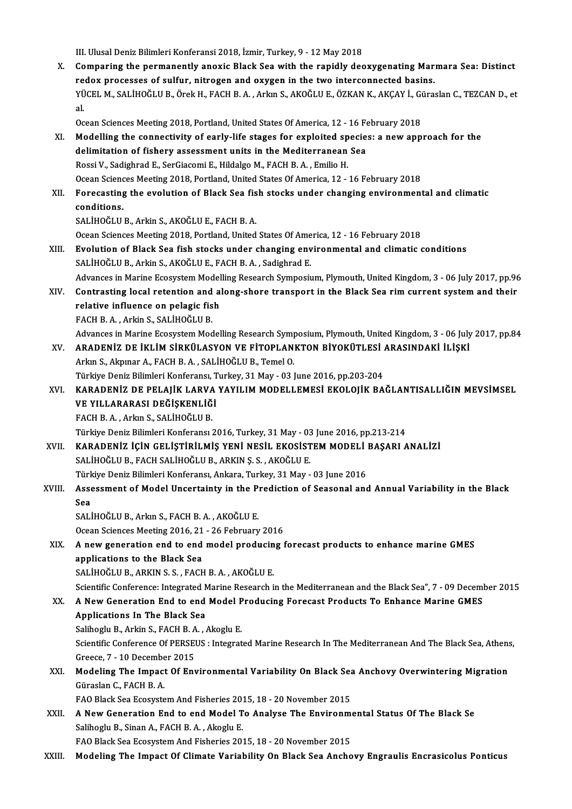III. Ulusal Deniz Bilimleri Konferansi 2018, İzmir, Turkey, 9 - 12 May 2018

X. Comparing the permanently anoxic Black Sea with the rapidly deoxygenating Marmara Sea: Distinct redox processes of sulfur, nitrogen and oxygen in the two interconnected basins. Comparing the permanently anoxic Black Sea with the rapidly deoxygenating Marmara Sea: Distinct<br>redox processes of sulfur, nitrogen and oxygen in the two interconnected basins.<br>YÜCEL M., SALİHOĞLU B., Örek H., FACH B. A. , re<br>YÜ<br>al. YÜCEL M., SALİHOĞLU B., Örek H., FACH B. A. , Arkın S., AKOĞLU E., ÖZKAN K., AKÇAY İ., Gi<br>al.<br>Ocean Sciences Meeting 2018, Portland, United States Of America, 12 - 16 February 2018<br>Modelling the sennestivity of early life

- al.<br>Ocean Sciences Meeting 2018, Portland, United States Of America, 12 16 February 2018<br>XI. Modelling the connectivity of early-life stages for exploited species: a new approach for the<br>delimitation of fishery assessmen Ocean Sciences Meeting 2018, Portland, United States Of America, 12 - 16 Fe<br>Modelling the connectivity of early-life stages for exploited specie<br>delimitation of fishery assessment units in the Mediterranean Sea<br>Rossi V, Sa delimitation of fishery assessment units in the Mediterranean Sea<br>Rossi V., Sadighrad E., SerGiacomi E., Hildalgo M., FACH B. A., Emilio H. delimitation of fishery assessment units in the Mediterranean Sea<br>Rossi V., Sadighrad E., SerGiacomi E., Hildalgo M., FACH B. A. , Emilio H.<br>Ocean Sciences Meeting 2018, Portland, United States Of America, 12 - 16 February Rossi V., Sadighrad E., SerGiacomi E., Hildalgo M., FACH B. A. , Emilio H.<br>Ocean Sciences Meeting 2018, Portland, United States Of America, 12 - 16 February 2018<br>XII. Forecasting the evolution of Black Sea fish stocks unde
- **Ocean Scienc<br>Forecasting<br>conditions.**<br>SALIHOČLU Forecasting the evolution of Black Sea fis<br>conditions.<br>SALİHOĞLU B., Arkin S., AKOĞLU E., FACH B. A.<br>Qaean Sajanses Mastins 2019. Portland United conditions.<br>SALİHOĞLU B., Arkin S., AKOĞLU E., FACH B. A.<br>Ocean Sciences Meeting 2018, Portland, United States Of America, 12 - 16 February 2018<br>Fyolution of Plack See fish stasks under shanging environmental and elimetis

- SALİHOĞLU B., Arkin S., AKOĞLU E., FACH B. A.<br>Ocean Sciences Meeting 2018, Portland, United States Of America, 12 16 February 2018<br>XIII. Evolution of Black Sea fish stocks under changing environmental and climatic condit Ocean Sciences Meeting 2018, Portland, United States Of Ame<br>**Evolution of Black Sea fish stocks under changing env**<br>SALİHOĞLU B., Arkin S., AKOĞLU E., FACH B. A. , Sadighrad E.<br>Advances in Marine Feesystem Modelling Bessen Evolution of Black Sea fish stocks under changing environmental and climatic conditions<br>SALİHOĞLU B., Arkin S., AKOĞLU E., FACH B. A. , Sadighrad E.<br>Advances in Marine Ecosystem Modelling Research Symposium, Plymouth, Unit SALİHOĞLU B., Arkin S., AKOĞLU E., FACH B. A. , Sadighrad E.<br>Advances in Marine Ecosystem Modelling Research Symposium, Plymouth, United Kingdom, 3 - 06 July 2017, pp.96<br>XIV. Contrasting local retention and along-shore tra
- Advances in Marine Ecosystem Model<br>Contrasting local retention and a<br>relative influence on pelagic fish<br>FACU B.A., Arlin S. SALIHOČLU B. Contrasting local retention and<br>relative influence on pelagic fis<br>FACH B.A., Arkin S., SALİHOĞLU B.<br>Advances in Marine Feeswatern Med FACH B. A. , Arkin S., SALİHOĞLU B.<br>Advances in Marine Ecosystem Modelling Research Symposium, Plymouth, United Kingdom, 3 - 06 July 2017, pp.84

- FACH B. A. , Arkin S., SALİHOĞLU B.<br>Advances in Marine Ecosystem Modelling Research Symposium, Plymouth, United Kingdom, 3 06 July<br>XV. ARADENİZ DE İKLİM SİRKÜLASYON VE FİTOPLANKTON BİYOKÜTLESİ ARASINDAKİ İLİŞKİ Advances in Marine Ecosystem Modelling Research Symp<br>ARADENİZ DE İKLİM SİRKÜLASYON VE FİTOPLAN<br>Arkın S., Akpınar A., FACH B. A. , SALİHOĞLU B., Temel O.<br>Türkiye Deniz Bilimleri Kenferansı, Turkey, 21 May , 02 l ARADENİZ DE İKLİM SİRKÜLASYON VE FİTOPLANKTON BİYOKÜTLESİ<br>Arkın S., Akpınar A., FACH B. A. , SALİHOĞLU B., Temel O.<br>Türkiye Deniz Bilimleri Konferansı, Turkey, 31 May - 03 June 2016, pp.203-204<br>KARADENİZ DE BELALİK LABVA Y
- Arkın S., Akpınar A., FACH B. A. , SALİHOĞLU B., Temel O.<br>Türkiye Deniz Bilimleri Konferansı, Turkey, 31 May 03 June 2016, pp.203-204<br>XVI. KARADENİZ DE PELAJİK LARVA YAYILIM MODELLEMESİ EKOLOJİK BAĞLANTISALLIĞIN MEVS Türkiye Deniz Bilimleri Konferansı, T<br>KARADENİZ DE PELAJİK LARVA<br>VE YILLARARASI DEĞİŞKENLİĞİ<br>EACH B.A. Arlan S. SALİHOĞLU P KARADENİZ DE PELAJİK LARVA<br>VE YILLARARASI DEĞİŞKENLİĞ<br>FACH B. A. , Arkın S., SALİHOĞLU B.<br>Türkiye Deniz Bilimleri Kenferanev VE YILLARARASI DEĞİŞKENLİĞİ<br>FACH B. A. , Arkın S., SALİHOĞLU B.<br>Türkiye Deniz Bilimleri Konferansı 2016, Turkey, 31 May - 03 June 2016, pp.213-214

- FACH B. A. , Arkın S., SALİHOĞLU B.<br>Türkiye Deniz Bilimleri Konferansı 2016, Turkey, 31 May 03 June 2016, pp.213-214<br>XVII. KARADENİZ İÇİN GELİŞTİRİLMİŞ YENİ NESİL EKOSİSTEM MODELİ BAŞARI ANALİZİ Türkiye Deniz Bilimleri Konferansı 2016, Turkey, 31 May - 03<br>KARADENİZ İÇİN GELİŞTİRİLMİŞ YENİ NESİL EKOSİST<br>SALİHOĞLU B., FACH SALİHOĞLU B., ARKIN Ş. S. , AKOĞLU E.<br>Türkiye Deniz Bilimleri Konferansı, Arkana, Turkey, 21 M KARADENİZ İÇİN GELİŞTİRİLMİŞ YENİ NESİL EKOSİSTEM MODELİ |<br>SALİHOĞLU B., FACH SALİHOĞLU B., ARKIN Ş. S. , AKOĞLU E.<br>Türkiye Deniz Bilimleri Konferansı, Ankara, Turkey, 31 May - 03 June 2016<br>Assessment of Model Unsertainty SALİHOĞLU B., FACH SALİHOĞLU B., ARKIN Ş. S. , AKOĞLU E.<br>Türkiye Deniz Bilimleri Konferansı, Ankara, Turkey, 31 May - 03 June 2016<br>XVIII. Assessment of Model Uncertainty in the Prediction of Seasonal and Annual Variabi
- Türk<br>Asse<br>Sea Assessment of Model Uncertainty in the P:<br>Sea<br>SALİHOĞLU B., Arkın S., FACH B. A. , AKOĞLU E.<br>Osean Ssianses Mestins 2016, 21, 26 Eabruary Sea<br>SALİHOĞLU B., Arkın S., FACH B. A. , AKOĞLU E.<br>Ocean Sciences Meeting 2016, 21 - 26 February 2016<br>A now generation and to and model produging t

## SALİHOĞLU B., Arkın S., FACH B. A. , AKOĞLU E.<br>Ocean Sciences Meeting 2016, 21 - 26 February 2016<br>XIX. A new generation end to end model producing forecast products to enhance marine GMES<br>applications to the Black Sea **Ocean Sciences Meeting 2016, 21<br>A new generation end to end<br>applications to the Black Sea<br>SALIHOČLU B ARKIN S.S. FACH**

SALİHOĞLU B., ARKIN S. S., FACH B. A., AKOĞLU E.

Scientific Conference: Integrated Marine Research in the Mediterranean and the Black Sea", 7 - 09 December 2015

# SALİHOĞLU B., ARKIN S. S. , FACH B. A. , AKOĞLU E.<br>Scientific Conference: Integrated Marine Research in the Mediterranean and the Black Sea", 7 - 09 Decemi<br>XX. A New Generation End to end Model Producing Forecast Products A New Generation End to end Model P<br>Applications In The Black Sea<br>Salihoglu B., Arkin S., FACH B.A. , Akoglu E.<br>Scientific Conference Of PERSEUS : Integrat

Applications In The Black Sea

Salihoglu B., Arkin S., FACH B. A., Akoglu E.

Scientific Conference Of PERSEUS : Integrated Marine Research In The Mediterranean And The Black Sea, Athens,<br>Greece, 7 - 10 December 2015 Scientific Conference Of PERSEUS : Integrated Marine Research In The Mediterranean And The Black Sea, Athens<br>Greece, 7 - 10 December 2015<br>XXI. Modeling The Impact Of Environmental Variability On Black Sea Anchovy Overwinte

# Greece, 7 - 10 Decembe<br>Modeling The Impact<br>Güraslan C., FACH B. A.<br>FAO Black See Feeswate Modeling The Impact Of Environmental Variability On Black Sea<br>Güraslan C., FACH B. A.<br>FAO Black Sea Ecosystem And Fisheries 2015, 18 - 20 November 2015<br>A Now Concration End to and Model Te Anglyse The Environm

- Güraslan C., FACH B. A.<br>FAO Black Sea Ecosystem And Fisheries 2015, 18 20 November 2015<br>XXII. A New Generation End to end Model To Analyse The Environmental Status Of The Black Se FAO Black Sea Ecosystem And Fisheries 20<br>**A New Generation End to end Model T**<br>Salihoglu B., Sinan A., FACH B.A. , Akoglu E.<br>FAO Black See Feogystem And Fisheries 20 A New Generation End to end Model To Analyse The Environme<br>Salihoglu B., Sinan A., FACH B. A. , Akoglu E.<br>FAO Black Sea Ecosystem And Fisheries 2015, 18 - 20 November 2015<br>Modeling The Imnest Of Climate Veriability On Blac Salihoglu B., Sinan A., FACH B. A. , Akoglu E.<br>FAO Black Sea Ecosystem And Fisheries 2015, 18 - 20 November 2015<br>XXIII. Modeling The Impact Of Climate Variability On Black Sea Anchovy Engraulis Encrasicolus Ponticus
-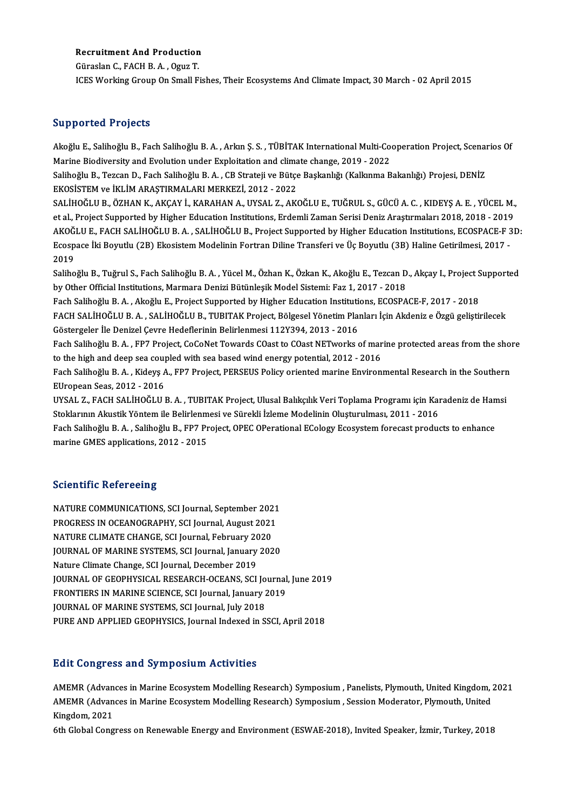# Recruitment And Production<br>Cünaalan C. FACH B.A., Ogus T. **Recruitment And Production<br>Güraslan C., FACH B. A. , Oguz T.<br>ICES Werking Croup On Small E**

Güraslan C., FACH B. A. , Oguz T.<br>ICES Working Group On Small Fishes, Their Ecosystems And Climate Impact, 30 March - 02 April 2015

#### Supported Projects

Supported Projects<br>Akoğlu E., Salihoğlu B., Fach Salihoğlu B. A. , Arkın Ş. S. , TÜBİTAK International Multi-Cooperation Project, Scenarios Of<br>Marine Biodiversity and Evolution under Evoleitation and slimate shange 2019, 2 Barp Breaden I augustus<br>Akoğlu E., Salihoğlu B., Fach Salihoğlu B. A. , Arkın Ş. S. , TÜBİTAK International Multi-Co<br>Marine Biodiversity and Evolution under Exploitation and climate change, 2019 - 2022<br>Salihoğlu B., Tercan Akoğlu E., Salihoğlu B., Fach Salihoğlu B. A. , Arkın Ş. S. , TÜBİTAK International Multi-Cooperation Project, Scenal<br>Marine Biodiversity and Evolution under Exploitation and climate change, 2019 - 2022<br>Salihoğlu B., Tezca Marine Biodiversity and Evolution under Exploitation and climate change, 2019 - 2022<br>Salihoğlu B., Tezcan D., Fach Salihoğlu B. A. , CB Strateji ve Bütçe Başkanlığı (Kalkınma Bakanlığı) Projesi, DENİZ<br>EKOSİSTEM ve İKLİM AR Salihoğlu B., Tezcan D., Fach Salihoğlu B. A. , CB Strateji ve Bütçe Başkanlığı (Kalkınma Bakanlığı) Projesi, DENİZ<br>EKOSİSTEM ve İKLİM ARAŞTIRMALARI MERKEZİ, 2012 - 2022<br>SALİHOĞLU B., ÖZHAN K., AKÇAY İ., KARAHAN A., UYSAL EKOSİSTEM ve İKLİM ARAŞTIRMALARI MERKEZİ, 2012 - 2022<br>SALİHOĞLU B., ÖZHAN K., AKÇAY İ., KARAHAN A., UYSAL Z., AKOĞLU E., TUĞRUL S., GÜCÜ A. C. , KIDEYŞ A. E. , YÜCEL M.,<br>et al., Project Supported by Higher Education Instit SALİHOĞLU B., ÖZHAN K., AKÇAY İ., KARAHAN A., UYSAL Z., AKOĞLU E., TUĞRUL S., GÜCÜ A. C. , KIDEYŞ A. E. , YÜCEL M.,<br>et al., Project Supported by Higher Education Institutions, Erdemli Zaman Serisi Deniz Araştırmaları 2018, et al., Project Supported by Higher Education Institutions, Erdemli Zaman Serisi Deniz Araştırmaları 2018, 2018 - 2019<br>AKOĞLU E., FACH SALİHOĞLU B. A. , SALİHOĞLU B., Project Supported by Higher Education Institutions, ECO AKOĞ<br>Ecosp<br>2019<br>Saliba Ecospace İki Boyutlu (2B) Ekosistem Modelinin Fortran Diline Transferi ve Üç Boyutlu (3B) Haline Getirilmesi, 2017 -<br>2019<br>Salihoğlu B., Tuğrul S., Fach Salihoğlu B. A. , Yücel M., Özhan K., Özkan K., Akoğlu E., Tezcan D., 2019<br>Salihoğlu B., Tuğrul S., Fach Salihoğlu B. A. , Yücel M., Özhan K., Özkan K., Akoğlu E., Tezcan D<br>by Other Official Institutions, Marmara Denizi Bütünleşik Model Sistemi: Faz 1, 2017 - 2018<br>Fash Salihoğlu B. A., Alsoğ Salihoğlu B., Tuğrul S., Fach Salihoğlu B. A. , Yücel M., Özhan K., Özkan K., Akoğlu E., Tezcan D., Akçay I., Project S<br>by Other Official Institutions, Marmara Denizi Bütünleşik Model Sistemi: Faz 1, 2017 - 2018<br>FACH SALiH by Other Official Institutions, Marmara Denizi Bütünleşik Model Sistemi: Faz 1, 2017 - 2018<br>Fach Salihoğlu B. A. , Akoğlu E., Project Supported by Higher Education Institutions, ECOSPACE-F, 2017 - 2018<br>FACH SALİHOĞLU B. A. Fach Salihoğlu B. A. , Akoğlu E., Project Supported by Higher Education Instituti<br>FACH SALİHOĞLU B. A. , SALİHOĞLU B., TUBITAK Project, Bölgesel Yönetim Plaı<br>Göstergeler İle Denizel Çevre Hedeflerinin Belirlenmesi 112Y394, FACH SALİHOĞLU B. A. , SALİHOĞLU B., TUBITAK Project, Bölgesel Yönetim Planları İçin Akdeniz e Özgü geliştirilecek<br>Göstergeler İle Denizel Çevre Hedeflerinin Belirlenmesi 112Y394, 2013 - 2016<br>Fach Salihoğlu B. A. , FP7 Pro Göstergeler İle Denizel Çevre Hedeflerinin Belirlenmesi 112Y394, 2013 - 2016<br>Fach Salihoğlu B. A. , FP7 Project, CoCoNet Towards COast to COast NETworks of mar<br>to the high and deep sea coupled with sea based wind energy po Fach Salihoğlu B. A. , FP7 Project, CoCoNet Towards COast to COast NETworks of marine protected areas from the shol<br>to the high and deep sea coupled with sea based wind energy potential, 2012 - 2016<br>Fach Salihoğlu B. A. , to the high and deep sea coup<br>Fach Salihoğlu B. A. , Kideyş A<br>EUropean Seas, 2012 - 2016<br>UYSAL Z. FACH SALİHOĞLU I Fach Salihoğlu B. A. , Kideyş A., FP7 Project, PERSEUS Policy oriented marine Environmental Research in the Southern<br>EUropean Seas, 2012 - 2016<br>UYSAL Z., FACH SALİHOĞLU B. A. , TUBITAK Project, Ulusal Balıkçılık Veri Topla EUropean Seas, 2012 - 2016<br>UYSAL Z., FACH SALİHOĞLU B. A. , TUBITAK Project, Ulusal Balıkçılık Veri Toplama Programı için Kaı<br>Stoklarının Akustik Yöntem ile Belirlenmesi ve Sürekli İzleme Modelinin Oluşturulması, 2011 - 20 UYSAL Z., FACH SALİHOĞLU B. A. , TUBITAK Project, Ulusal Balıkçılık Veri Toplama Programı için Karadeniz de Han<br>Stoklarının Akustik Yöntem ile Belirlenmesi ve Sürekli İzleme Modelinin Oluşturulması, 2011 - 2016<br>Fach Saliho Stoklarının Akustik Yöntem ile Belirlenmesi ve Sürekli İzleme Modelinin Oluşturulması, 2011 - 2016<br>Fach Salihoğlu B. A. , Salihoğlu B., FP7 Project, OPEC OPerational ECology Ecosystem forecast products to enhance<br>marine GM

#### **Scientific Refereeing**

Scie<mark>ntific Refereeing</mark><br>NATURE COMMUNICATIONS, SCI Journal, September 2021<br>PROCRESS IN OCEANOCRAPHY, SCI Journal, August 2021 PETENTIFY NETETTELY<br>NATURE COMMUNICATIONS, SCI Journal, September 2021<br>PROGRESS IN OCEANOGRAPHY, SCI Journal, August 2021<br>NATURE CLIMATE CHANCE, SCI Journal, Echruary 2020 NATURE COMMUNICATIONS, SCI Journal, September 202<br>PROGRESS IN OCEANOGRAPHY, SCI Journal, August 2021<br>NATURE CLIMATE CHANGE, SCI Journal, February 2020<br>JOURNAL OF MARINE SYSTEMS, SCI Journal, Jonuary 202 PROGRESS IN OCEANOGRAPHY, SCI Journal, August 2021<br>NATURE CLIMATE CHANGE, SCI Journal, February 2020<br>JOURNAL OF MARINE SYSTEMS, SCI Journal, January 2020<br>Nature Climate Change, SCI Journal, December 2019 NATURE CLIMATE CHANGE, SCI Journal, February 20<br>JOURNAL OF MARINE SYSTEMS, SCI Journal, January<br>Nature Climate Change, SCI Journal, December 2019<br>JOURNAL OF CEORHYSICAL RESEARCH OCEANS, SCI JOURNAL OF MARINE SYSTEMS, SCI Journal, January 2020<br>Nature Climate Change, SCI Journal, December 2019<br>JOURNAL OF GEOPHYSICAL RESEARCH-OCEANS, SCI Journal, June 2019<br>ERONTIERS IN MARINE SCIENCE, SCI Journal January 2019 Nature Climate Change, SCI Journal, December 2019<br>JOURNAL OF GEOPHYSICAL RESEARCH-OCEANS, SCI Journal<br>FRONTIERS IN MARINE SCIENCE, SCI Journal, January 2019<br>JOURNAL OF MARINE SYSTEMS, SCI Journal, July 2019 JOURNAL OF GEOPHYSICAL RESEARCH-OCEANS, SCI Jo<br>FRONTIERS IN MARINE SCIENCE, SCI Journal, January 2<br>JOURNAL OF MARINE SYSTEMS, SCI Journal, July 2018<br>PURE AND APPLIED CEOPHYSICS, Journal Indoved in S FRONTIERS IN MARINE SCIENCE, SCI Journal, January 2019<br>JOURNAL OF MARINE SYSTEMS, SCI Journal, July 2018<br>PURE AND APPLIED GEOPHYSICS, Journal Indexed in SSCI, April 2018

#### **Edit Congress and Symposium Activities**

Edit Congress and Symposium Activities<br>AMEMR (Advances in Marine Ecosystem Modelling Research) Symposium , Panelists, Plymouth, United Kingdom, 2021<br>AMEMR (Advances in Marine Ecosystem Modelling Besearch) Symposium, Sessio Bare Gongress and By inpositant ricervictes<br>AMEMR (Advances in Marine Ecosystem Modelling Research) Symposium , Panelists, Plymouth, United Kingdom, ;<br>Mingdom, 2021 AMEMR (Advan<br>AMEMR (Advan<br>Kingdom, 2021<br><sup>Eth Clabel Cong</sup> AMEMR (Advances in Marine Ecosystem Modelling Research) Symposium , Session Moderator, Plymouth, United<br>Kingdom, 2021<br>6th Global Congress on Renewable Energy and Environment (ESWAE-2018), Invited Speaker, İzmir, Turkey, 20